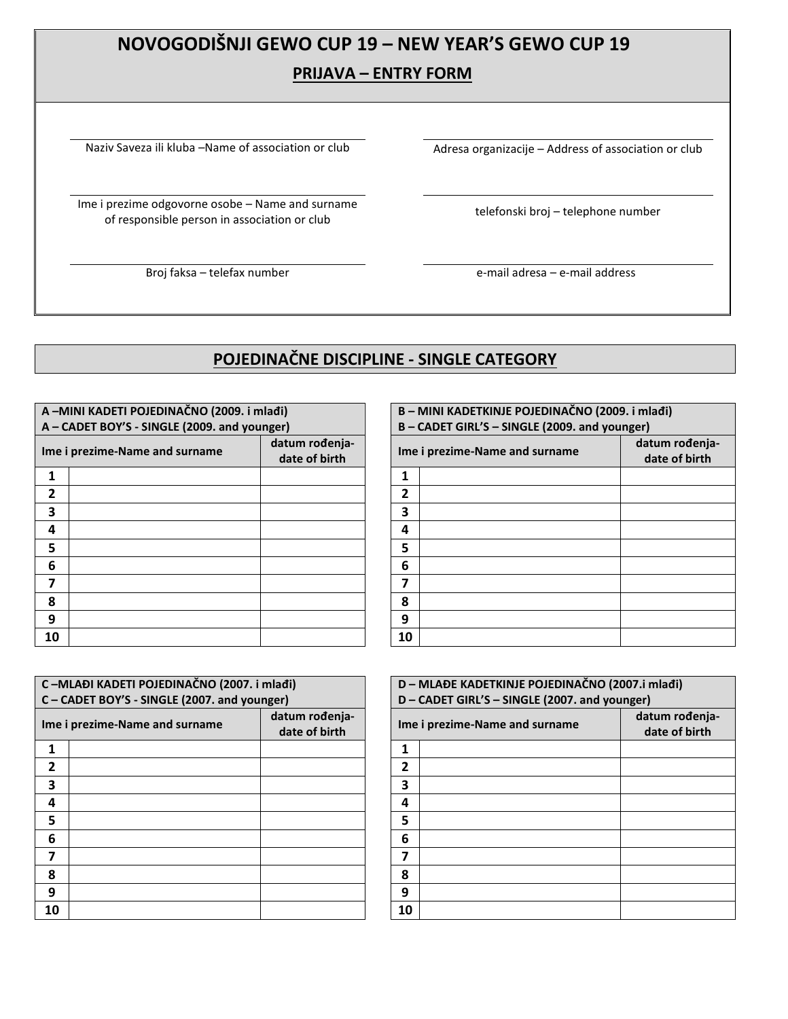## **NOVOGODIŠNJI GEWO CUP 19 – NEW YEAR'S GEWO CUP 19 PRIJAVA – ENTRY FORM**

Naziv Saveza ili kluba –Name of association or club Adresa organizacije – Address of association or club

Ime i prezime odgovorne osobe – Name and surname prezime dugovorne osobe – ivanie and surname<br>of responsible person in association or club telefonski broj – telephone number

Broj faksa – telefax number e-mail adresa – e-mail address

#### **POJEDINAČNE DISCIPLINE - SINGLE CATEGORY**

| A -MINI KADETI POJEDINAČNO (2009. i mlađi) |                                              |                |  | <b>B</b> –   |
|--------------------------------------------|----------------------------------------------|----------------|--|--------------|
|                                            | A - CADET BOY'S - SINGLE (2009. and younger) |                |  | <b>B</b> –   |
|                                            |                                              | datum rođenja- |  |              |
|                                            | Ime i prezime-Name and surname               | date of birth  |  | Im           |
| 1                                          |                                              |                |  | 1            |
| $\mathbf{2}$                               |                                              |                |  | $\mathbf{2}$ |
| 3                                          |                                              |                |  | 3            |
| 4                                          |                                              |                |  | 4            |
| 5                                          |                                              |                |  | 5.           |
| 6                                          |                                              |                |  | 6            |
|                                            |                                              |                |  | 7            |
| 8                                          |                                              |                |  | 8            |
| 9                                          |                                              |                |  | 9            |
| 10                                         |                                              |                |  | 10           |

| C-MLAĐI KADETI POJEDINAČNO (2007. i mlađi) |                                              |                                 |  |              |
|--------------------------------------------|----------------------------------------------|---------------------------------|--|--------------|
|                                            | C - CADET BOY'S - SINGLE (2007. and younger) |                                 |  |              |
|                                            | Ime i prezime-Name and surname               | datum rođenja-<br>date of birth |  | Im           |
| 1                                          |                                              |                                 |  | 1            |
| 2                                          |                                              |                                 |  | $\mathbf{2}$ |
| 3                                          |                                              |                                 |  | 3            |
| 4                                          |                                              |                                 |  | 4            |
| 5                                          |                                              |                                 |  | 5            |
| 6                                          |                                              |                                 |  | 6            |
| 7                                          |                                              |                                 |  | 7            |
| 8                                          |                                              |                                 |  | 8            |
| 9                                          |                                              |                                 |  | 9            |
| 10                                         |                                              |                                 |  | 10           |
|                                            |                                              |                                 |  |              |

| B – MINI KADETKINJE POJEDINAČNO (2009. i mlađi) |  |
|-------------------------------------------------|--|
| B – CADET GIRL'S – SINGLE (2009. and younger)   |  |

| - 1                            |                |                                |                                 |
|--------------------------------|----------------|--------------------------------|---------------------------------|
| atum rođenja-<br>date of birth |                | Ime i prezime-Name and surname | datum rođenja-<br>date of birth |
|                                | 1              |                                |                                 |
|                                | $\overline{2}$ |                                |                                 |
|                                | 3              |                                |                                 |
|                                | 4              |                                |                                 |
|                                | 5              |                                |                                 |
|                                | 6              |                                |                                 |
|                                | 7              |                                |                                 |
|                                | 8              |                                |                                 |
|                                | 9              |                                |                                 |
|                                | 10             |                                |                                 |
|                                |                |                                |                                 |

| di)           |                | D – MLAĐE KADETKINJE POJEDINAČNO (2007.i mlađi) |                |  |  |
|---------------|----------------|-------------------------------------------------|----------------|--|--|
| r)            |                | D - CADET GIRL'S - SINGLE (2007. and younger)   |                |  |  |
| atum rođenja- |                | Ime i prezime-Name and surname                  | datum rođenja- |  |  |
| date of birth |                |                                                 | date of birth  |  |  |
|               | 1              |                                                 |                |  |  |
|               | $\overline{2}$ |                                                 |                |  |  |
|               | 3              |                                                 |                |  |  |
|               | 4              |                                                 |                |  |  |
|               | 5              |                                                 |                |  |  |
|               | 6              |                                                 |                |  |  |
|               | 7              |                                                 |                |  |  |
|               | 8              |                                                 |                |  |  |
|               | 9              |                                                 |                |  |  |
|               | 10             |                                                 |                |  |  |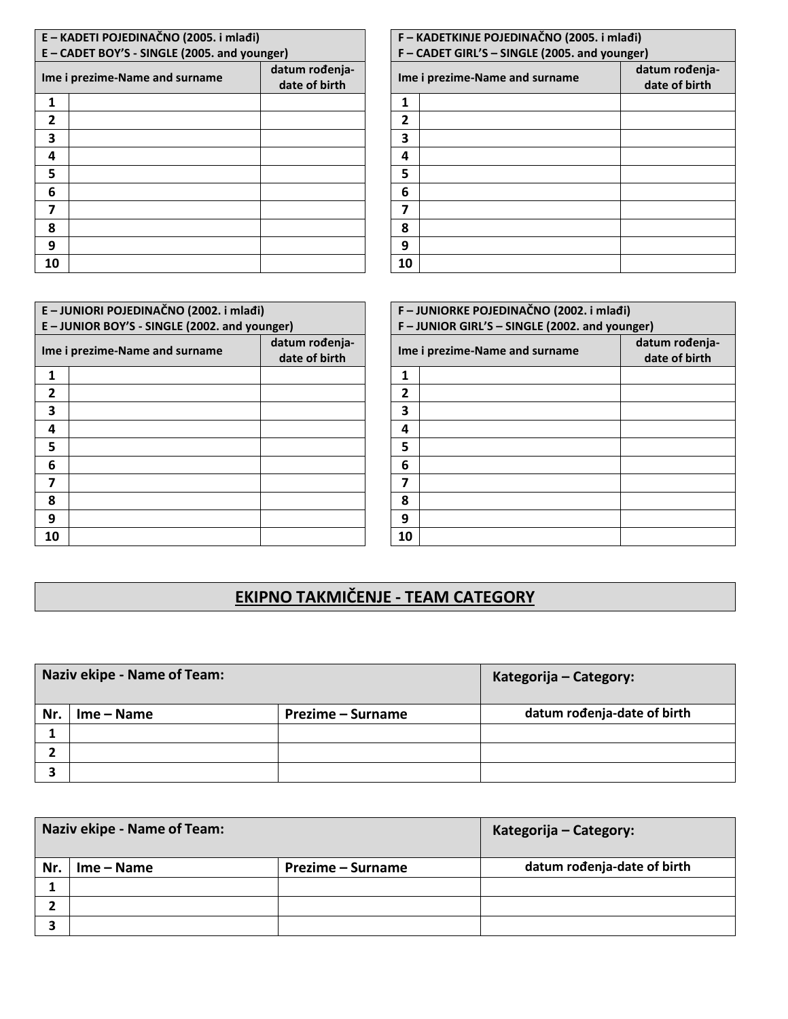| E - KADETI POJEDINAČNO (2005. i mlađi) |                                                                   |  |  |                |  |
|----------------------------------------|-------------------------------------------------------------------|--|--|----------------|--|
|                                        | E - CADET BOY'S - SINGLE (2005. and younger)                      |  |  |                |  |
|                                        | datum rođenja-<br>Ime i prezime-Name and surname<br>date of birth |  |  |                |  |
| 1                                      |                                                                   |  |  | 1              |  |
| 2                                      |                                                                   |  |  | $\overline{2}$ |  |
| 3                                      |                                                                   |  |  | 3              |  |
| 4                                      |                                                                   |  |  | 4              |  |
| 5                                      |                                                                   |  |  | 5              |  |
| 6                                      |                                                                   |  |  | 6              |  |
| 7                                      |                                                                   |  |  | 7              |  |
| 8                                      |                                                                   |  |  | 8              |  |
| 9                                      |                                                                   |  |  | 9              |  |
| 10                                     |                                                                   |  |  | 10             |  |

| r)                             | F - KADETKINJE POJEDINAČNO (2005. i mlađi)<br>F - CADET GIRL'S - SINGLE (2005. and younger) |                                |                                 |  |  |
|--------------------------------|---------------------------------------------------------------------------------------------|--------------------------------|---------------------------------|--|--|
| atum rođenja-<br>date of birth |                                                                                             | Ime i prezime-Name and surname | datum rođenja-<br>date of birth |  |  |
|                                | 1                                                                                           |                                |                                 |  |  |
|                                | $\overline{2}$                                                                              |                                |                                 |  |  |
|                                | 3                                                                                           |                                |                                 |  |  |
|                                | 4                                                                                           |                                |                                 |  |  |
|                                | 5                                                                                           |                                |                                 |  |  |
|                                | 6                                                                                           |                                |                                 |  |  |
|                                | 7                                                                                           |                                |                                 |  |  |
|                                | 8                                                                                           |                                |                                 |  |  |
|                                | 9                                                                                           |                                |                                 |  |  |
|                                | 10                                                                                          |                                |                                 |  |  |

| E - JUNIORI POJEDINAČNO (2002. i mlađi)                           |                                               |  |  |                |
|-------------------------------------------------------------------|-----------------------------------------------|--|--|----------------|
|                                                                   | E - JUNIOR BOY'S - SINGLE (2002. and younger) |  |  |                |
| datum rođenja-<br>Ime i prezime-Name and surname<br>date of birth |                                               |  |  |                |
| 1                                                                 |                                               |  |  | 1              |
| $\overline{2}$                                                    |                                               |  |  | $\overline{2}$ |
| 3                                                                 |                                               |  |  | 3              |
| 4                                                                 |                                               |  |  | 4              |
| 5                                                                 |                                               |  |  | 5              |
| 6                                                                 |                                               |  |  | 6              |
| 7                                                                 |                                               |  |  | 7              |
| 8                                                                 |                                               |  |  | 8              |
| 9                                                                 |                                               |  |  | 9              |
| 10                                                                |                                               |  |  | 10             |

|                                |    | F-JUNIORKE POJEDINAČNO (2002. i mlađi)       |                                 |  |  |  |
|--------------------------------|----|----------------------------------------------|---------------------------------|--|--|--|
| er)                            |    | F-JUNIOR GIRL'S - SINGLE (2002. and younger) |                                 |  |  |  |
| atum rođenja-<br>date of birth |    | Ime i prezime-Name and surname               | datum rođenja-<br>date of birth |  |  |  |
|                                | 1  |                                              |                                 |  |  |  |
|                                | 2  |                                              |                                 |  |  |  |
|                                | 3  |                                              |                                 |  |  |  |
|                                | 4  |                                              |                                 |  |  |  |
|                                | 5  |                                              |                                 |  |  |  |
|                                | 6  |                                              |                                 |  |  |  |
|                                | 7  |                                              |                                 |  |  |  |
|                                | 8  |                                              |                                 |  |  |  |
|                                | 9  |                                              |                                 |  |  |  |
|                                | 10 |                                              |                                 |  |  |  |

# **EKIPNO TAKMIČENJE - TEAM CATEGORY**

| <b>Naziv ekipe - Name of Team:</b> |              |                   | Kategorija – Category:      |
|------------------------------------|--------------|-------------------|-----------------------------|
| Nr.                                | $Ime - Name$ | Prezime – Surname | datum rođenja-date of birth |
|                                    |              |                   |                             |
|                                    |              |                   |                             |
|                                    |              |                   |                             |

|     | <b>Naziv ekipe - Name of Team:</b> | Kategorija – Category: |                             |
|-----|------------------------------------|------------------------|-----------------------------|
| Nr. | $Ime - Name$                       | Prezime – Surname      | datum rođenja-date of birth |
|     |                                    |                        |                             |
|     |                                    |                        |                             |
|     |                                    |                        |                             |